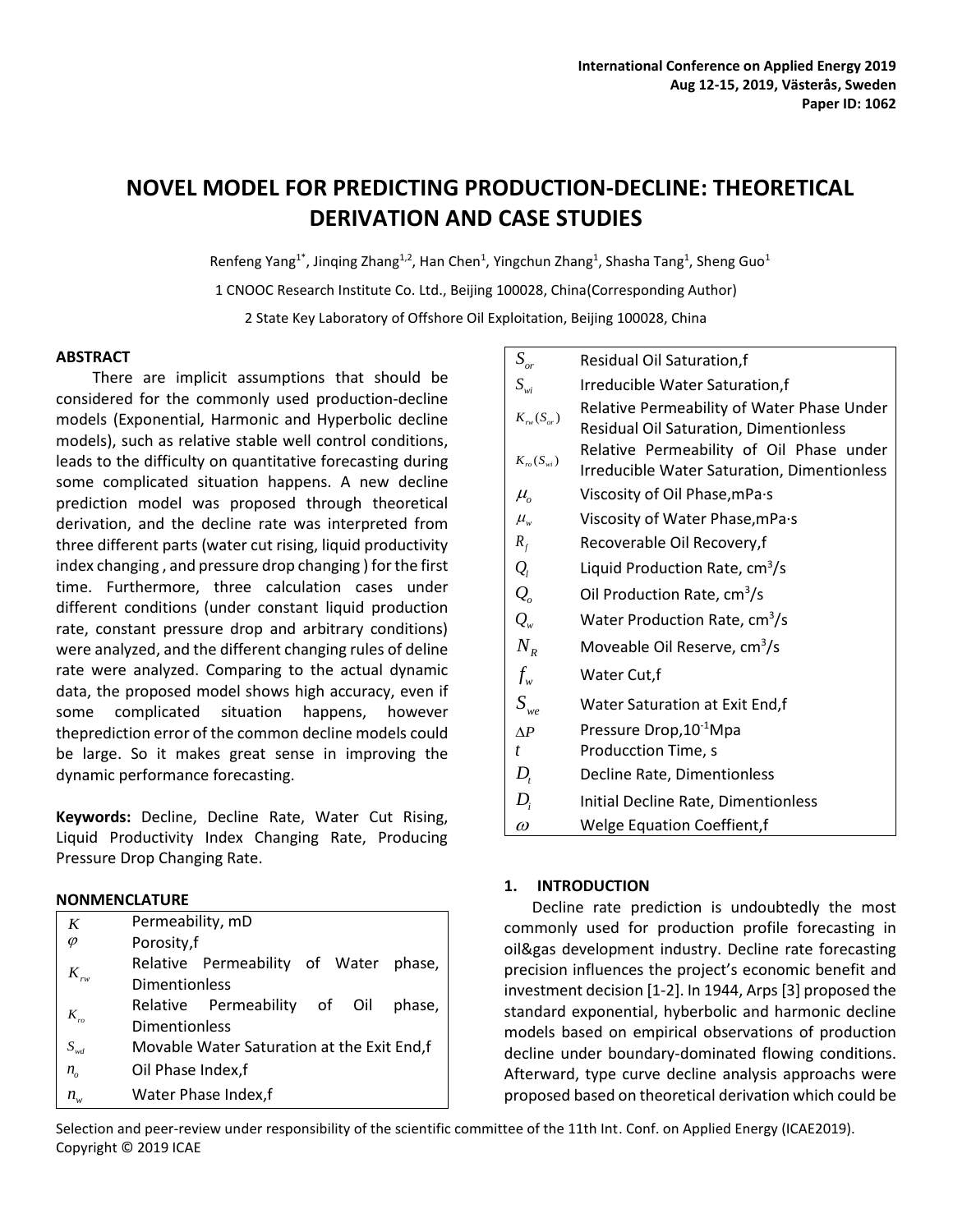# **NOVEL MODEL FOR PREDICTING PRODUCTION-DECLINE: THEORETICAL DERIVATION AND CASE STUDIES**

Renfeng Yang<sup>1\*</sup>, Jinqing Zhang<sup>1,2</sup>, Han Chen<sup>1</sup>, Yingchun Zhang<sup>1</sup>, Shasha Tang<sup>1</sup>, Sheng Guo<sup>1</sup>

1 CNOOC Research Institute Co. Ltd., Beijing 100028, China(Corresponding Author)

2 State Key Laboratory of Offshore Oil Exploitation, Beijing 100028, China

# **ABSTRACT**

There are implicit assumptions that should be considered for the commonly used production-decline models (Exponential, Harmonic and Hyperbolic decline models), such as relative stable well control conditions, leads to the difficulty on quantitative forecasting during some complicated situation happens. A new decline prediction model was proposed through theoretical derivation, and the decline rate was interpreted from three different parts (water cut rising, liquid productivity index changing , and pressure drop changing ) for the first time. Furthermore, three calculation cases under different conditions (under constant liquid production rate, constant pressure drop and arbitrary conditions) were analyzed, and the different changing rules of deline rate were analyzed. Comparing to the actual dynamic data, the proposed model shows high accuracy, even if some complicated situation happens, however theprediction error of the common decline models could be large. So it makes great sense in improving the dynamic performance forecasting.

**Keywords:** Decline, Decline Rate, Water Cut Rising, Liquid Productivity Index Changing Rate, Producing Pressure Drop Changing Rate.

# **NONMENCLATURE**

| K                                                                    | Permeability, mD                           |  |  |  |  |  |  |  |  |
|----------------------------------------------------------------------|--------------------------------------------|--|--|--|--|--|--|--|--|
| Porosity,f                                                           |                                            |  |  |  |  |  |  |  |  |
| Relative Permeability of Water phase,<br>$K_{\scriptscriptstyle rw}$ |                                            |  |  |  |  |  |  |  |  |
| <b>Dimentionless</b>                                                 |                                            |  |  |  |  |  |  |  |  |
| Relative Permeability of Oil                                         | phase,                                     |  |  |  |  |  |  |  |  |
| $K_{\scriptscriptstyle r0}$<br><b>Dimentionless</b>                  |                                            |  |  |  |  |  |  |  |  |
| $S_{wd}$                                                             | Movable Water Saturation at the Exit End,f |  |  |  |  |  |  |  |  |
| Oil Phase Index,f<br>$n_{o}$                                         |                                            |  |  |  |  |  |  |  |  |
| Water Phase Index,f<br>$n_{w}$                                       |                                            |  |  |  |  |  |  |  |  |

| $S_{\scriptscriptstyle or}$          | <b>Residual Oil Saturation,f</b>                                                               |
|--------------------------------------|------------------------------------------------------------------------------------------------|
| $S_{wi}$                             | Irreducible Water Saturation, f                                                                |
| $K_{rw}(S_{or})$                     | Relative Permeability of Water Phase Under<br><b>Residual Oil Saturation, Dimentionless</b>    |
| $K_{ro}(S_{wi})$                     | Relative Permeability of Oil Phase under<br><b>Irreducible Water Saturation, Dimentionless</b> |
| $\mu_{\scriptscriptstyle{\alpha}}$   | Viscosity of Oil Phase, mPa.s                                                                  |
| $\mu_{w}$                            | Viscosity of Water Phase, mPa · s                                                              |
| $R_{f}$                              | Recoverable Oil Recovery, f                                                                    |
| $\mathcal{Q}_{\scriptscriptstyle l}$ | Liquid Production Rate, $cm3/s$                                                                |
| $Q_{o}$                              | Oil Production Rate, cm <sup>3</sup> /s                                                        |
| $Q_{w}$                              | Water Production Rate, $cm3/s$                                                                 |
| $N_{R}$                              | Moveable Oil Reserve, cm <sup>3</sup> /s                                                       |
| $f_{w}$                              | Water Cut, f                                                                                   |
| $S_{we}$                             | Water Saturation at Exit End, f                                                                |
| $\Delta P$                           | Pressure Drop, 10 <sup>-1</sup> Mpa                                                            |
| $\mathbf{t}$                         | Producction Time, s                                                                            |
| $D_{t}$                              | Decline Rate, Dimentionless                                                                    |
| $D_i$                                | Initial Decline Rate, Dimentionless                                                            |
| $\omega$                             | Welge Equation Coeffient, f                                                                    |

# **1. INTRODUCTION**

Decline rate prediction is undoubtedly the most commonly used for production profile forecasting in oil&gas development industry. Decline rate forecasting precision influences the project's economic benefit and investment decision [1-2]. In 1944, Arps [3] proposed the standard exponential, hyberbolic and harmonic decline models based on empirical observations of production decline under boundary-dominated flowing conditions. Afterward, type curve decline analysis approachs were proposed based on theoretical derivation which could be

Selection and peer-review under responsibility of the scientific committee of the 11th Int. Conf. on Applied Energy (ICAE2019). Copyright © 2019 ICAE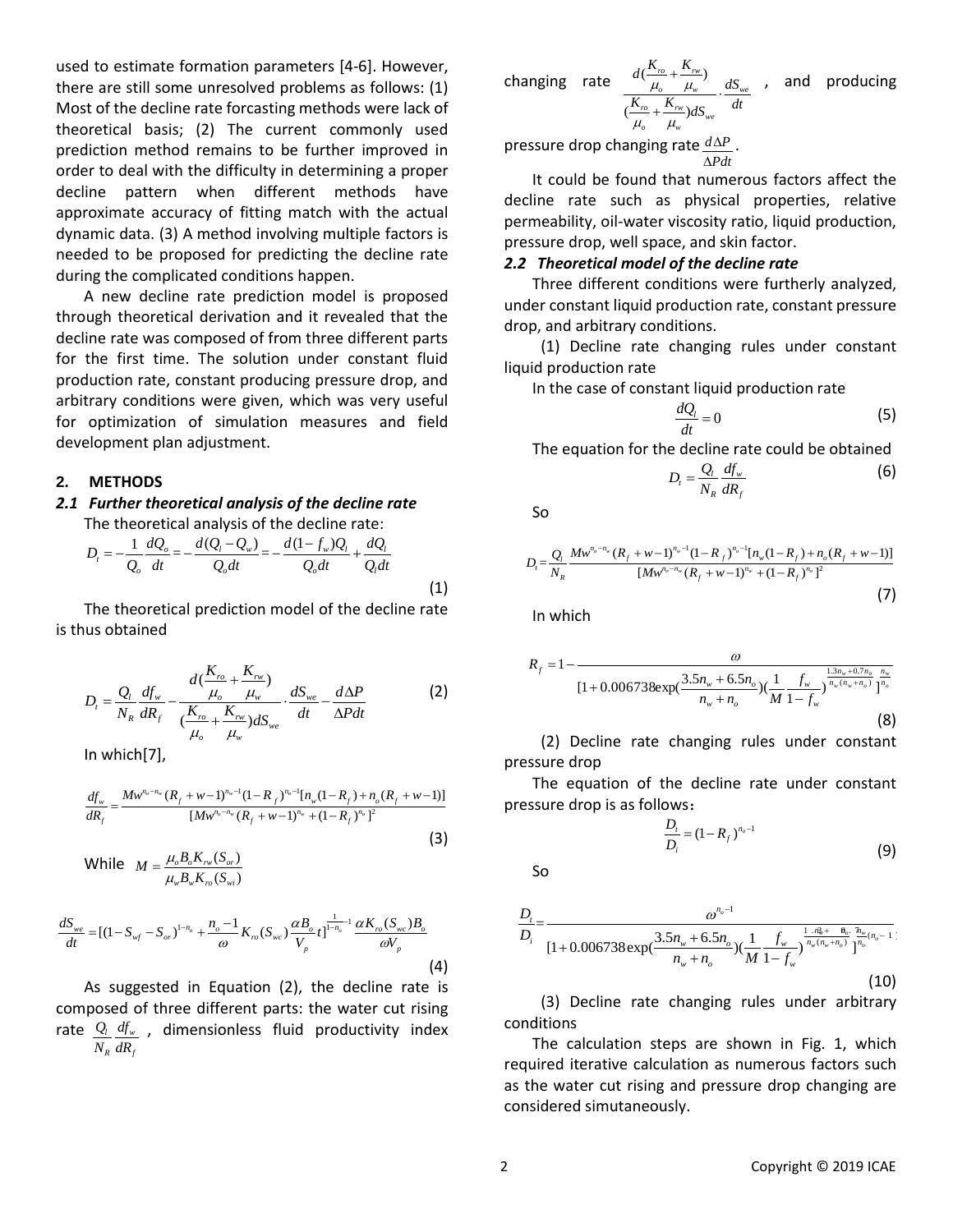used to estimate formation parameters [4-6]. However, there are still some unresolved problems as follows: (1) Most of the decline rate forcasting methods were lack of theoretical basis; (2) The current commonly used prediction method remains to be further improved in order to deal with the difficulty in determining a proper decline pattern when different methods have approximate accuracy of fitting match with the actual dynamic data. (3) A method involving multiple factors is needed to be proposed for predicting the decline rate during the complicated conditions happen.

A new decline rate prediction model is proposed through theoretical derivation and it revealed that the decline rate was composed of from three different parts for the first time. The solution under constant fluid production rate, constant producing pressure drop, and arbitrary conditions were given, which was very useful for optimization of simulation measures and field development plan adjustment.

#### **2. METHODS**

*D*,

# *2.1 Further theoretical analysis of the decline rate*

The theoretical analysis of the decline rate:  
\n
$$
D_{i} = -\frac{1}{Q_{o}} \frac{dQ_{o}}{dt} = -\frac{d(Q_{i} - Q_{w})}{Q_{o}dt} = -\frac{d(1 - f_{w})Q_{i}}{Q_{o}dt} + \frac{dQ_{i}}{Q_{i}dt}
$$
\n(1)

The theoretical prediction model of the decline rate is thus obtained

$$
D_{t} = \frac{Q_{t}}{N_{R}} \frac{df_{w}}{dR_{f}} - \frac{d(\frac{K_{ro}}{\mu_{o}} + \frac{K_{rw}}{\mu_{w}})}{(\frac{K_{ro}}{\mu_{o}} + \frac{K_{rw}}{\mu_{w}})dS_{we}} \cdot \frac{dS_{we}}{dt} - \frac{d\Delta P}{\Delta P dt}
$$
(2)

In which[7],

In which [7],  
\n
$$
\frac{df_w}{dR_f} = \frac{Mw^{n_v - n_w}(R_f + w - 1)^{n_w - 1}(1 - R_f)^{n_o - 1}[n_w(1 - R_f) + n_o(R_f + w - 1)]}{[Mw^{n_o - n_w}(R_f + w - 1)^{n_w} + (1 - R_f)^{n_o}]^2}
$$
\n(3)

While 
$$
M = \frac{\mu_o B_o K_{rw}(S_{or})}{\mu_w B_w K_{ro}(S_{wi})}
$$

$$
\mu_{w} B_{w} \Lambda_{ro} (S_{wi})
$$
\n
$$
\frac{dS_{we}}{dt} = [(1 - S_{wf} - S_{or})^{1 - n_o} + \frac{n_o - 1}{\omega} K_{ro} (S_{wc}) \frac{\alpha B_o}{V_p} t]^{1 - n_o - 1} \frac{\alpha K_{ro} (S_{wc}) B_o}{\omega V_p}
$$
\n(4)

As suggested in Equation (2), the decline rate is composed of three different parts: the water cut rising rate  $\mathcal{Q}_{\scriptscriptstyle l}$   $\mathcal{d}\!f_{\scriptscriptstyle w}$  $R^{un}f$ *Q df*  $N_{R}$   $dR_{R}$ , dimensionless fluid productivity index

changing rate  $(\frac{K_{ro}}{K_{rw}} + \frac{K_{rw}}{K_{rw}})$  $(\frac{K_{ro}}{K_{rw}} + \frac{K_{rw}}{K_{rw}})$  $\frac{r_o}{r_w} + \frac{K_{rw}}{r_w}$  $\mu_{w}$   $dS_{we}$  $\frac{r_o}{r} + \frac{K_{rw}}{m} dS_{we}$ *o w*  $\frac{d(\frac{K_{ro}}{\mu_o} + \frac{K_{rw}}{\mu_w})}{K_{ro} + \frac{K_{rw}}{\mu_w}dS_{sw}} \cdot \frac{dS_{sw}}{dt}$  $\frac{m}{\mu_o} + \frac{m}{\mu_w}$  $\frac{\mu}{\mu_o} + \frac{\mu_w}{\mu_w}$  $^{+}$  $\ddot{\phantom{0}}$  $\ddot{}$ , and producing

pressure drop changing rate  $\frac{d\Delta P}{dt}$ *Pdt*  $\Delta l$ .

It could be found that numerous factors affect the decline rate such as physical properties, relative permeability, oil-water viscosity ratio, liquid production, pressure drop, well space, and skin factor.

#### *2.2 Theoretical model of the decline rate*

Three different conditions were furtherly analyzed, under constant liquid production rate, constant pressure drop, and arbitrary conditions.

(1) Decline rate changing rules under constant liquid production rate

In the case of constant liquid production rate

$$
\frac{dQ_t}{dt} = 0\tag{5}
$$

The equation for the decline rate could be obtained

$$
D_t = \frac{Q_t}{N_R} \frac{df_w}{dR_f} \tag{6}
$$

So

So  
\n
$$
D_{t} = \frac{Q_{t}}{N_{R}} \frac{M w^{n_{o} - n_{w}} (R_{f} + w - 1)^{n_{w} - 1} (1 - R_{f})^{n_{o} - 1} [n_{w} (1 - R_{f}) + n_{o} (R_{f} + w - 1)]}{[M w^{n_{o} - n_{w}} (R_{f} + w - 1)^{n_{w}} + (1 - R_{f})^{n_{o}}]^{2}}
$$
\n(7)

In which

$$
R_{f} = 1 - \frac{\omega}{\left[1 + 0.006738 \exp\left(\frac{3.5n_{w} + 6.5n_{o}}{n_{w} + n_{o}}\right)\left(\frac{1}{M} \frac{f_{w}}{1 - f_{w}}\right)^{\frac{1.3n_{w} + 0.7n_{o}}{n_{w} + n_{o}}}\right]_{1}^{n_{o}}}
$$
\n(8)

(2) Decline rate changing rules under constant pressure drop

The equation of the decline rate under constant pressure drop is as follows:

$$
\frac{D_i}{D_i} = (1 - R_f)^{n_o - 1}
$$
\n(9)

So

$$
\frac{D_{t}}{D_{i}} = \frac{\omega^{n_{o}-1}}{[1+0.006738 \exp(\frac{3.5n_{w}+6.5n_{o}}{n_{w}+n_{o}})(\frac{1}{M}\frac{f_{w}}{1-f_{w}})^{\frac{1.7n_{w}^{2}+1}{n_{w}(n_{w}+n_{o})}}]^{\frac{n_{w}}{n_{o}}}}}{[1+0.006738 \exp(\frac{3.5n_{w}+6.5n_{o}}{n_{w}+n_{o}})(\frac{1}{M}\frac{f_{w}}{1-f_{w}})^{\frac{1.7n_{w}^{2}+1}{n_{w}(n_{w}+n_{o})}}]}]
$$
(10)

(3) Decline rate changing rules under arbitrary conditions

The calculation steps are shown in Fig. 1, which required iterative calculation as numerous factors such as the water cut rising and pressure drop changing are considered simutaneously.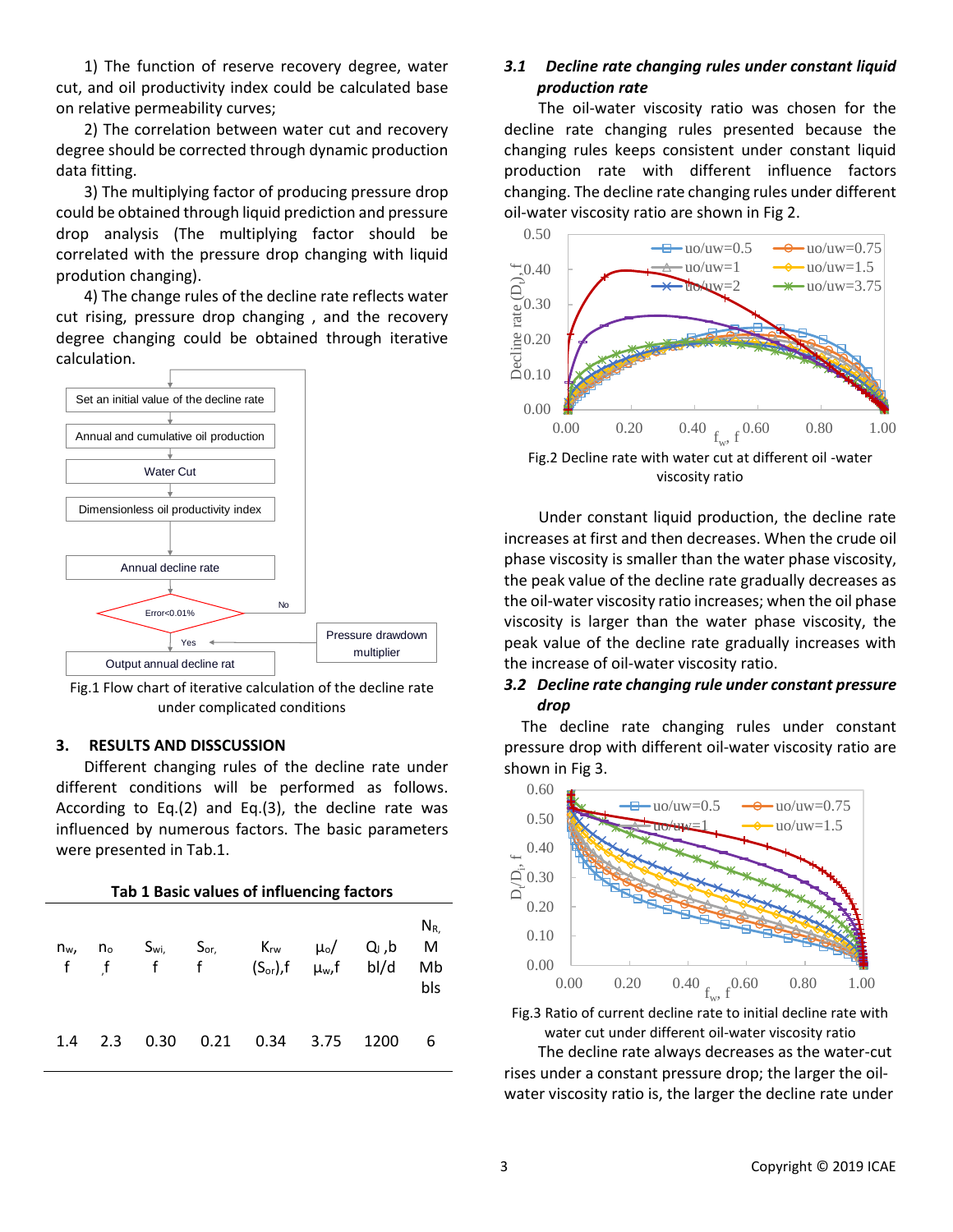1) The function of reserve recovery degree, water cut, and oil productivity index could be calculated base on relative permeability curves;

2) The correlation between water cut and recovery degree should be corrected through dynamic production data fitting.

3) The multiplying factor of producing pressure drop could be obtained through liquid prediction and pressure drop analysis (The multiplying factor should be correlated with the pressure drop changing with liquid prodution changing).

4) The change rules of the decline rate reflects water cut rising, pressure drop changing , and the recovery degree changing could be obtained through iterative calculation.



Fig.1 Flow chart of iterative calculation of the decline rate under complicated conditions

#### **3. RESULTS AND DISSCUSSION**

Different changing rules of the decline rate under different conditions will be performed as follows. According to Eq.(2) and Eq.(3), the decline rate was influenced by numerous factors. The basic parameters were presented in Tab.1.

| Tab 1 Basic values of influencing factors |     |      |      |                                                                                                                                |  |      |                            |  |  |  |
|-------------------------------------------|-----|------|------|--------------------------------------------------------------------------------------------------------------------------------|--|------|----------------------------|--|--|--|
| n <sub>w</sub>                            |     |      |      | $n_o$ S <sub>wi,</sub> S <sub>or,</sub> K <sub>rw</sub> $\mu_o$ / Q <sub>i</sub> ,b<br>f f f f $(S_{or})$ , f $\mu_w$ , f bl/d |  |      | $N_{R.}$<br>M<br>Mb<br>bls |  |  |  |
| 1.4                                       | 2.3 | 0.30 | 0.21 | $0.34$ 3.75                                                                                                                    |  | 1200 | 6                          |  |  |  |

# *3.1 Decline rate changing rules under constant liquid production rate*

The oil-water viscosity ratio was chosen for the decline rate changing rules presented because the changing rules keeps consistent under constant liquid production rate with different influence factors changing. The decline rate changing rules under different oil-water viscosity ratio are shown in Fig 2.



Fig.2 Decline rate with water cut at different oil -water viscosity ratio

Under constant liquid production, the decline rate increases at first and then decreases. When the crude oil phase viscosity is smaller than the water phase viscosity, the peak value of the decline rate gradually decreases as the oil-water viscosity ratio increases; when the oil phase viscosity is larger than the water phase viscosity, the peak value of the decline rate gradually increases with the increase of oil-water viscosity ratio.

# *3.2 Decline rate changing rule under constant pressure drop*

The decline rate changing rules under constant pressure drop with different oil-water viscosity ratio are shown in Fig 3.



Fig.3 Ratio of current decline rate to initial decline rate with water cut under different oil-water viscosity ratio

The decline rate always decreases as the water-cut rises under a constant pressure drop; the larger the oilwater viscosity ratio is, the larger the decline rate under